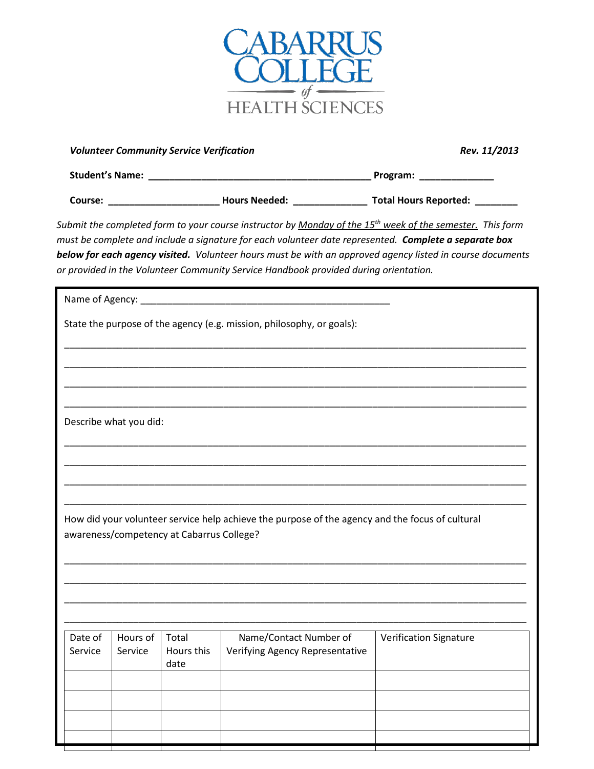

|                        |                     | <b>Volunteer Community Service Verification</b> | Rev. 11/2013                                                                                                                                                                                         |                                                                                                                                                                                                                                          |  |
|------------------------|---------------------|-------------------------------------------------|------------------------------------------------------------------------------------------------------------------------------------------------------------------------------------------------------|------------------------------------------------------------------------------------------------------------------------------------------------------------------------------------------------------------------------------------------|--|
|                        |                     |                                                 |                                                                                                                                                                                                      |                                                                                                                                                                                                                                          |  |
|                        |                     |                                                 |                                                                                                                                                                                                      |                                                                                                                                                                                                                                          |  |
|                        |                     |                                                 | must be complete and include a signature for each volunteer date represented. <b>Complete a separate box</b><br>or provided in the Volunteer Community Service Handbook provided during orientation. | Submit the completed form to your course instructor by <u>Monday of the 15<sup>th</sup> week of the semester.</u> This form<br>below for each agency visited. Volunteer hours must be with an approved agency listed in course documents |  |
|                        |                     |                                                 |                                                                                                                                                                                                      |                                                                                                                                                                                                                                          |  |
|                        |                     |                                                 | State the purpose of the agency (e.g. mission, philosophy, or goals):                                                                                                                                |                                                                                                                                                                                                                                          |  |
|                        |                     |                                                 |                                                                                                                                                                                                      |                                                                                                                                                                                                                                          |  |
|                        |                     |                                                 | <u> 1990 - Jan James James James James James James James James James James James James James James James James J</u>                                                                                 |                                                                                                                                                                                                                                          |  |
|                        |                     |                                                 |                                                                                                                                                                                                      |                                                                                                                                                                                                                                          |  |
| Describe what you did: |                     |                                                 |                                                                                                                                                                                                      |                                                                                                                                                                                                                                          |  |
|                        |                     |                                                 |                                                                                                                                                                                                      |                                                                                                                                                                                                                                          |  |
|                        |                     |                                                 |                                                                                                                                                                                                      |                                                                                                                                                                                                                                          |  |
|                        |                     |                                                 |                                                                                                                                                                                                      |                                                                                                                                                                                                                                          |  |
|                        |                     | awareness/competency at Cabarrus College?       | How did your volunteer service help achieve the purpose of the agency and the focus of cultural                                                                                                      |                                                                                                                                                                                                                                          |  |
|                        |                     |                                                 |                                                                                                                                                                                                      |                                                                                                                                                                                                                                          |  |
|                        |                     |                                                 |                                                                                                                                                                                                      |                                                                                                                                                                                                                                          |  |
|                        |                     |                                                 |                                                                                                                                                                                                      |                                                                                                                                                                                                                                          |  |
|                        |                     |                                                 |                                                                                                                                                                                                      |                                                                                                                                                                                                                                          |  |
| Date of<br>Service     | Hours of<br>Service | Total<br>Hours this<br>date                     | Name/Contact Number of<br>Verifying Agency Representative                                                                                                                                            | <b>Verification Signature</b>                                                                                                                                                                                                            |  |
|                        |                     |                                                 |                                                                                                                                                                                                      |                                                                                                                                                                                                                                          |  |
|                        |                     |                                                 |                                                                                                                                                                                                      |                                                                                                                                                                                                                                          |  |